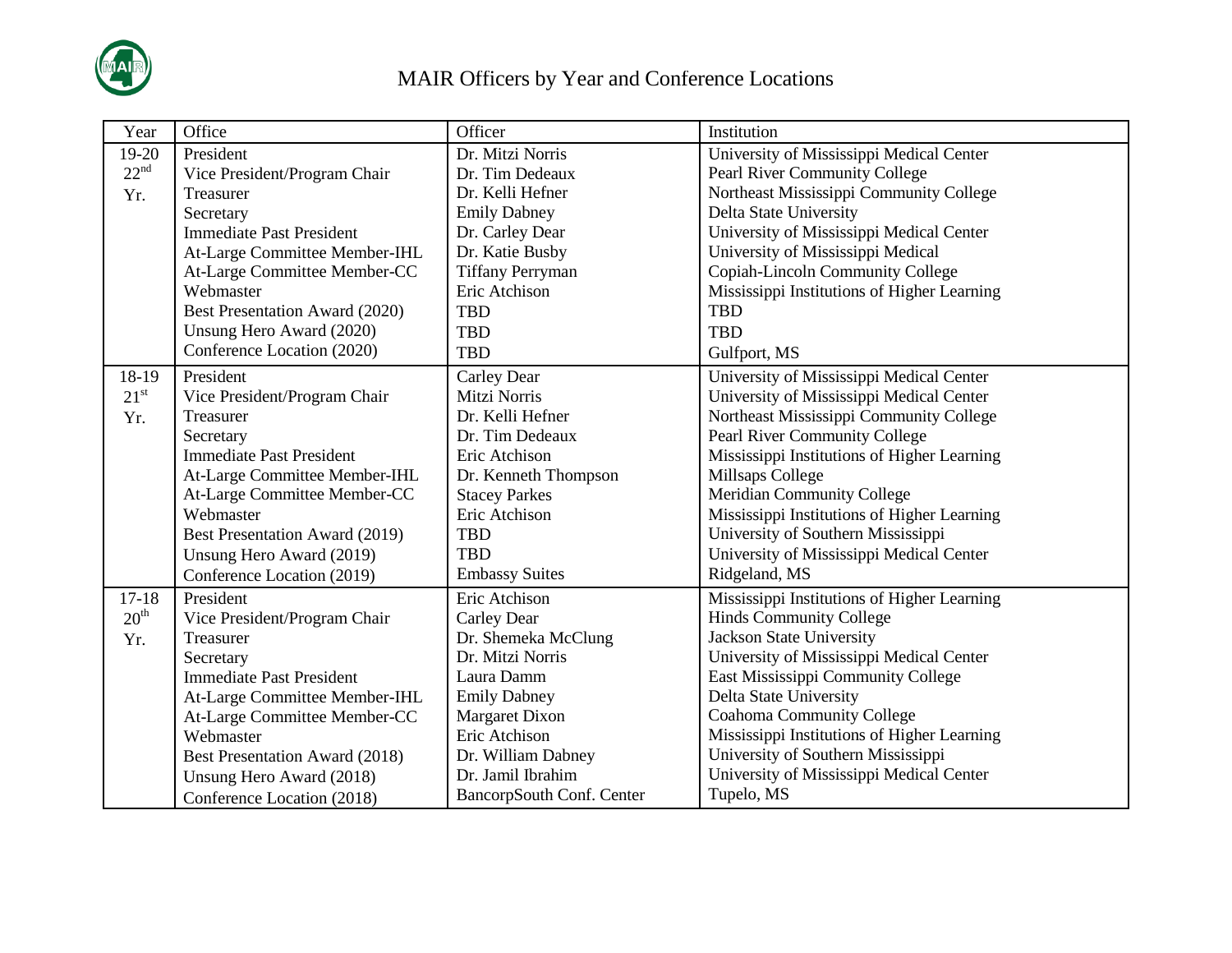

| Year             | Office                          | Officer                   | Institution                                 |
|------------------|---------------------------------|---------------------------|---------------------------------------------|
| 19-20            | President                       | Dr. Mitzi Norris          | University of Mississippi Medical Center    |
| 22 <sup>nd</sup> | Vice President/Program Chair    | Dr. Tim Dedeaux           | Pearl River Community College               |
| Yr.              | Treasurer                       | Dr. Kelli Hefner          | Northeast Mississippi Community College     |
|                  | Secretary                       | <b>Emily Dabney</b>       | Delta State University                      |
|                  | <b>Immediate Past President</b> | Dr. Carley Dear           | University of Mississippi Medical Center    |
|                  | At-Large Committee Member-IHL   | Dr. Katie Busby           | University of Mississippi Medical           |
|                  | At-Large Committee Member-CC    | <b>Tiffany Perryman</b>   | Copiah-Lincoln Community College            |
|                  | Webmaster                       | Eric Atchison             | Mississippi Institutions of Higher Learning |
|                  | Best Presentation Award (2020)  | <b>TBD</b>                | <b>TBD</b>                                  |
|                  | Unsung Hero Award (2020)        | <b>TBD</b>                | <b>TBD</b>                                  |
|                  | Conference Location (2020)      | <b>TBD</b>                | Gulfport, MS                                |
| 18-19            | President                       | Carley Dear               | University of Mississippi Medical Center    |
| $21^{\rm st}$    | Vice President/Program Chair    | Mitzi Norris              | University of Mississippi Medical Center    |
| Yr.              | Treasurer                       | Dr. Kelli Hefner          | Northeast Mississippi Community College     |
|                  | Secretary                       | Dr. Tim Dedeaux           | Pearl River Community College               |
|                  | <b>Immediate Past President</b> | Eric Atchison             | Mississippi Institutions of Higher Learning |
|                  | At-Large Committee Member-IHL   | Dr. Kenneth Thompson      | Millsaps College                            |
|                  | At-Large Committee Member-CC    | <b>Stacey Parkes</b>      | Meridian Community College                  |
|                  | Webmaster                       | Eric Atchison             | Mississippi Institutions of Higher Learning |
|                  | Best Presentation Award (2019)  | <b>TBD</b>                | University of Southern Mississippi          |
|                  | Unsung Hero Award (2019)        | <b>TBD</b>                | University of Mississippi Medical Center    |
|                  | Conference Location (2019)      | <b>Embassy Suites</b>     | Ridgeland, MS                               |
| $17 - 18$        | President                       | Eric Atchison             | Mississippi Institutions of Higher Learning |
| 20 <sup>th</sup> | Vice President/Program Chair    | Carley Dear               | <b>Hinds Community College</b>              |
| Yr.              | Treasurer                       | Dr. Shemeka McClung       | <b>Jackson State University</b>             |
|                  | Secretary                       | Dr. Mitzi Norris          | University of Mississippi Medical Center    |
|                  | <b>Immediate Past President</b> | Laura Damm                | East Mississippi Community College          |
|                  | At-Large Committee Member-IHL   | <b>Emily Dabney</b>       | Delta State University                      |
|                  | At-Large Committee Member-CC    | <b>Margaret Dixon</b>     | <b>Coahoma Community College</b>            |
|                  | Webmaster                       | Eric Atchison             | Mississippi Institutions of Higher Learning |
|                  | Best Presentation Award (2018)  | Dr. William Dabney        | University of Southern Mississippi          |
|                  | Unsung Hero Award (2018)        | Dr. Jamil Ibrahim         | University of Mississippi Medical Center    |
|                  | Conference Location (2018)      | BancorpSouth Conf. Center | Tupelo, MS                                  |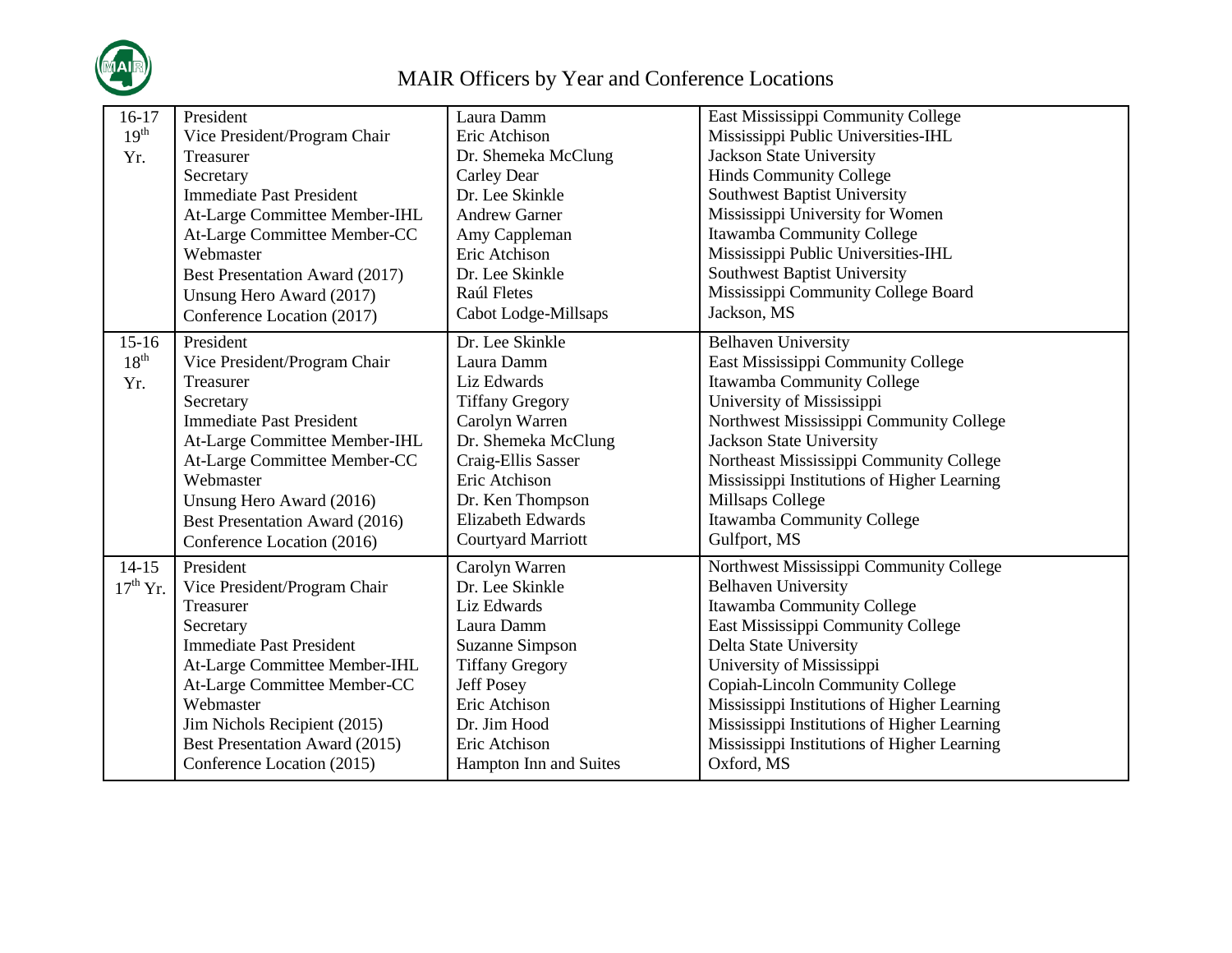

| $16-17$          | President                       | Laura Damm                | East Mississippi Community College          |
|------------------|---------------------------------|---------------------------|---------------------------------------------|
| 19 <sup>th</sup> | Vice President/Program Chair    | Eric Atchison             | Mississippi Public Universities-IHL         |
| Yr.              | Treasurer                       | Dr. Shemeka McClung       | <b>Jackson State University</b>             |
|                  | Secretary                       | Carley Dear               | <b>Hinds Community College</b>              |
|                  | <b>Immediate Past President</b> | Dr. Lee Skinkle           | Southwest Baptist University                |
|                  | At-Large Committee Member-IHL   | <b>Andrew Garner</b>      | Mississippi University for Women            |
|                  | At-Large Committee Member-CC    | Amy Cappleman             | Itawamba Community College                  |
|                  | Webmaster                       | Eric Atchison             | Mississippi Public Universities-IHL         |
|                  | Best Presentation Award (2017)  | Dr. Lee Skinkle           | <b>Southwest Baptist University</b>         |
|                  | Unsung Hero Award (2017)        | Raúl Fletes               | Mississippi Community College Board         |
|                  | Conference Location (2017)      | Cabot Lodge-Millsaps      | Jackson, MS                                 |
| $15-16$          | President                       | Dr. Lee Skinkle           | <b>Belhaven University</b>                  |
| $18^{th}$        | Vice President/Program Chair    | Laura Damm                | East Mississippi Community College          |
| Yr.              | Treasurer                       | Liz Edwards               | Itawamba Community College                  |
|                  | Secretary                       | <b>Tiffany Gregory</b>    | University of Mississippi                   |
|                  | <b>Immediate Past President</b> | Carolyn Warren            | Northwest Mississippi Community College     |
|                  | At-Large Committee Member-IHL   | Dr. Shemeka McClung       | <b>Jackson State University</b>             |
|                  | At-Large Committee Member-CC    | Craig-Ellis Sasser        | Northeast Mississippi Community College     |
|                  | Webmaster                       | Eric Atchison             | Mississippi Institutions of Higher Learning |
|                  | Unsung Hero Award (2016)        | Dr. Ken Thompson          | Millsaps College                            |
|                  | Best Presentation Award (2016)  | <b>Elizabeth Edwards</b>  | Itawamba Community College                  |
|                  | Conference Location (2016)      | <b>Courtyard Marriott</b> | Gulfport, MS                                |
| $14-15$          | President                       | Carolyn Warren            | Northwest Mississippi Community College     |
| $17th$ Yr.       | Vice President/Program Chair    | Dr. Lee Skinkle           | <b>Belhaven University</b>                  |
|                  | Treasurer                       | Liz Edwards               | Itawamba Community College                  |
|                  | Secretary                       | Laura Damm                | East Mississippi Community College          |
|                  | <b>Immediate Past President</b> | Suzanne Simpson           | Delta State University                      |
|                  | At-Large Committee Member-IHL   | <b>Tiffany Gregory</b>    | University of Mississippi                   |
|                  | At-Large Committee Member-CC    | <b>Jeff Posey</b>         | Copiah-Lincoln Community College            |
|                  | Webmaster                       | Eric Atchison             | Mississippi Institutions of Higher Learning |
|                  | Jim Nichols Recipient (2015)    | Dr. Jim Hood              | Mississippi Institutions of Higher Learning |
|                  | Best Presentation Award (2015)  | Eric Atchison             | Mississippi Institutions of Higher Learning |
|                  | Conference Location (2015)      | Hampton Inn and Suites    | Oxford, MS                                  |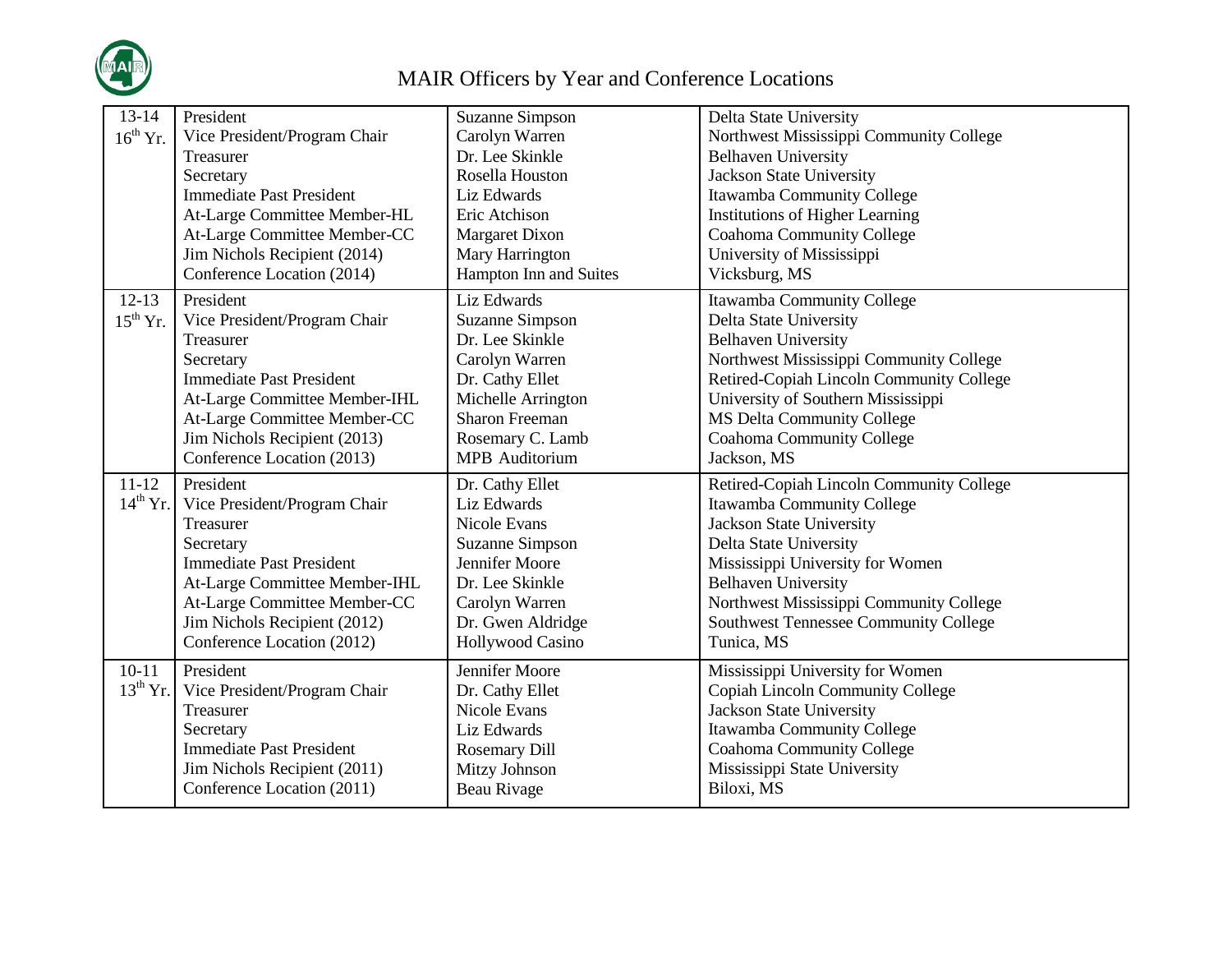

| $13-14$<br>$16^{th}$ Yr.   | President<br>Vice President/Program Chair<br>Treasurer<br>Secretary<br><b>Immediate Past President</b><br>At-Large Committee Member-HL<br>At-Large Committee Member-CC<br>Jim Nichols Recipient (2014)<br>Conference Location (2014)  | <b>Suzanne Simpson</b><br>Carolyn Warren<br>Dr. Lee Skinkle<br>Rosella Houston<br>Liz Edwards<br>Eric Atchison<br><b>Margaret Dixon</b><br>Mary Harrington<br>Hampton Inn and Suites | Delta State University<br>Northwest Mississippi Community College<br><b>Belhaven University</b><br>Jackson State University<br>Itawamba Community College<br><b>Institutions of Higher Learning</b><br>Coahoma Community College<br>University of Mississippi<br>Vicksburg, MS                                 |
|----------------------------|---------------------------------------------------------------------------------------------------------------------------------------------------------------------------------------------------------------------------------------|--------------------------------------------------------------------------------------------------------------------------------------------------------------------------------------|----------------------------------------------------------------------------------------------------------------------------------------------------------------------------------------------------------------------------------------------------------------------------------------------------------------|
| $12-13$<br>$15^{th}$ Yr.   | President<br>Vice President/Program Chair<br>Treasurer<br>Secretary<br><b>Immediate Past President</b><br>At-Large Committee Member-IHL<br>At-Large Committee Member-CC<br>Jim Nichols Recipient (2013)<br>Conference Location (2013) | Liz Edwards<br><b>Suzanne Simpson</b><br>Dr. Lee Skinkle<br>Carolyn Warren<br>Dr. Cathy Ellet<br>Michelle Arrington<br><b>Sharon Freeman</b><br>Rosemary C. Lamb<br>MPB Auditorium   | Itawamba Community College<br>Delta State University<br><b>Belhaven University</b><br>Northwest Mississippi Community College<br>Retired-Copiah Lincoln Community College<br>University of Southern Mississippi<br><b>MS Delta Community College</b><br><b>Coahoma Community College</b><br>Jackson, MS        |
| $11 - 12$<br>$14^{th}$ Yr. | President<br>Vice President/Program Chair<br>Treasurer<br>Secretary<br><b>Immediate Past President</b><br>At-Large Committee Member-IHL<br>At-Large Committee Member-CC<br>Jim Nichols Recipient (2012)<br>Conference Location (2012) | Dr. Cathy Ellet<br>Liz Edwards<br><b>Nicole Evans</b><br><b>Suzanne Simpson</b><br>Jennifer Moore<br>Dr. Lee Skinkle<br>Carolyn Warren<br>Dr. Gwen Aldridge<br>Hollywood Casino      | Retired-Copiah Lincoln Community College<br>Itawamba Community College<br><b>Jackson State University</b><br>Delta State University<br>Mississippi University for Women<br><b>Belhaven University</b><br>Northwest Mississippi Community College<br><b>Southwest Tennessee Community College</b><br>Tunica, MS |
| $10-11$<br>$13^{th}$ Yr.   | President<br>Vice President/Program Chair<br>Treasurer<br>Secretary<br><b>Immediate Past President</b><br>Jim Nichols Recipient (2011)<br>Conference Location (2011)                                                                  | Jennifer Moore<br>Dr. Cathy Ellet<br><b>Nicole Evans</b><br>Liz Edwards<br><b>Rosemary Dill</b><br>Mitzy Johnson<br>Beau Rivage                                                      | Mississippi University for Women<br>Copiah Lincoln Community College<br>Jackson State University<br>Itawamba Community College<br><b>Coahoma Community College</b><br>Mississippi State University<br>Biloxi, MS                                                                                               |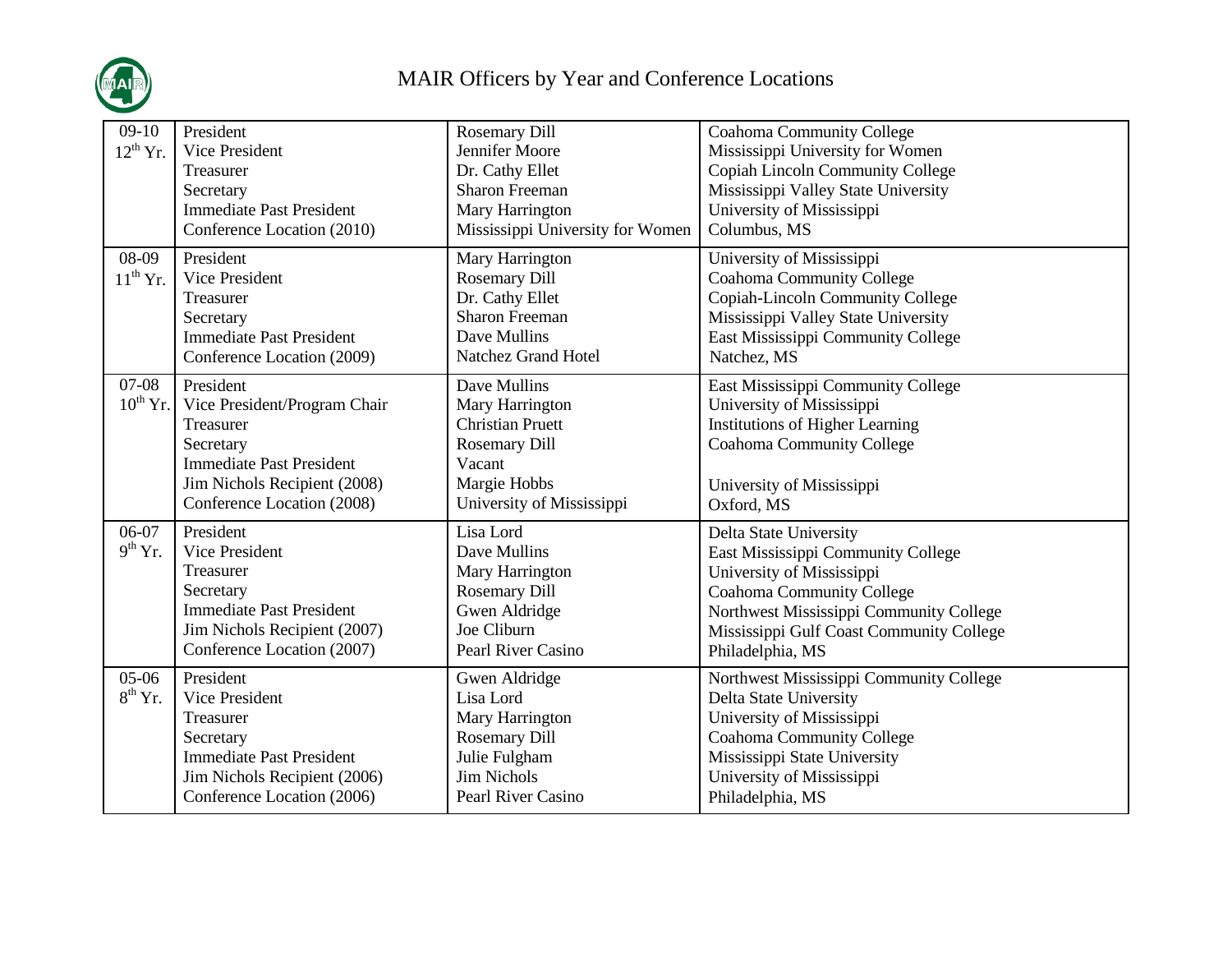

| $09-10$<br>$12^{th}$ Yr. | President<br>Vice President<br>Treasurer<br>Secretary<br><b>Immediate Past President</b><br>Conference Location (2010)                                               | <b>Rosemary Dill</b><br>Jennifer Moore<br>Dr. Cathy Ellet<br><b>Sharon Freeman</b><br>Mary Harrington<br>Mississippi University for Women | <b>Coahoma Community College</b><br>Mississippi University for Women<br>Copiah Lincoln Community College<br>Mississippi Valley State University<br>University of Mississippi<br>Columbus, MS                                             |
|--------------------------|----------------------------------------------------------------------------------------------------------------------------------------------------------------------|-------------------------------------------------------------------------------------------------------------------------------------------|------------------------------------------------------------------------------------------------------------------------------------------------------------------------------------------------------------------------------------------|
| 08-09<br>$11^{th}$ Yr.   | President<br>Vice President<br>Treasurer<br>Secretary<br><b>Immediate Past President</b><br>Conference Location (2009)                                               | Mary Harrington<br><b>Rosemary Dill</b><br>Dr. Cathy Ellet<br><b>Sharon Freeman</b><br>Dave Mullins<br>Natchez Grand Hotel                | University of Mississippi<br><b>Coahoma Community College</b><br>Copiah-Lincoln Community College<br>Mississippi Valley State University<br>East Mississippi Community College<br>Natchez, MS                                            |
| $07-08$<br>$10^{th}$ Yr. | President<br>Vice President/Program Chair<br>Treasurer<br>Secretary<br><b>Immediate Past President</b><br>Jim Nichols Recipient (2008)<br>Conference Location (2008) | Dave Mullins<br>Mary Harrington<br><b>Christian Pruett</b><br><b>Rosemary Dill</b><br>Vacant<br>Margie Hobbs<br>University of Mississippi | East Mississippi Community College<br>University of Mississippi<br><b>Institutions of Higher Learning</b><br><b>Coahoma Community College</b><br>University of Mississippi<br>Oxford, MS                                                 |
| 06-07<br>$9th$ Yr.       | President<br>Vice President<br>Treasurer<br>Secretary<br><b>Immediate Past President</b><br>Jim Nichols Recipient (2007)<br>Conference Location (2007)               | Lisa Lord<br>Dave Mullins<br>Mary Harrington<br><b>Rosemary Dill</b><br>Gwen Aldridge<br>Joe Cliburn<br>Pearl River Casino                | Delta State University<br>East Mississippi Community College<br>University of Mississippi<br><b>Coahoma Community College</b><br>Northwest Mississippi Community College<br>Mississippi Gulf Coast Community College<br>Philadelphia, MS |
| $05-06$<br>$8^{th}$ Yr.  | President<br>Vice President<br>Treasurer<br>Secretary<br><b>Immediate Past President</b><br>Jim Nichols Recipient (2006)<br>Conference Location (2006)               | Gwen Aldridge<br>Lisa Lord<br>Mary Harrington<br><b>Rosemary Dill</b><br>Julie Fulgham<br><b>Jim Nichols</b><br>Pearl River Casino        | Northwest Mississippi Community College<br>Delta State University<br>University of Mississippi<br><b>Coahoma Community College</b><br>Mississippi State University<br>University of Mississippi<br>Philadelphia, MS                      |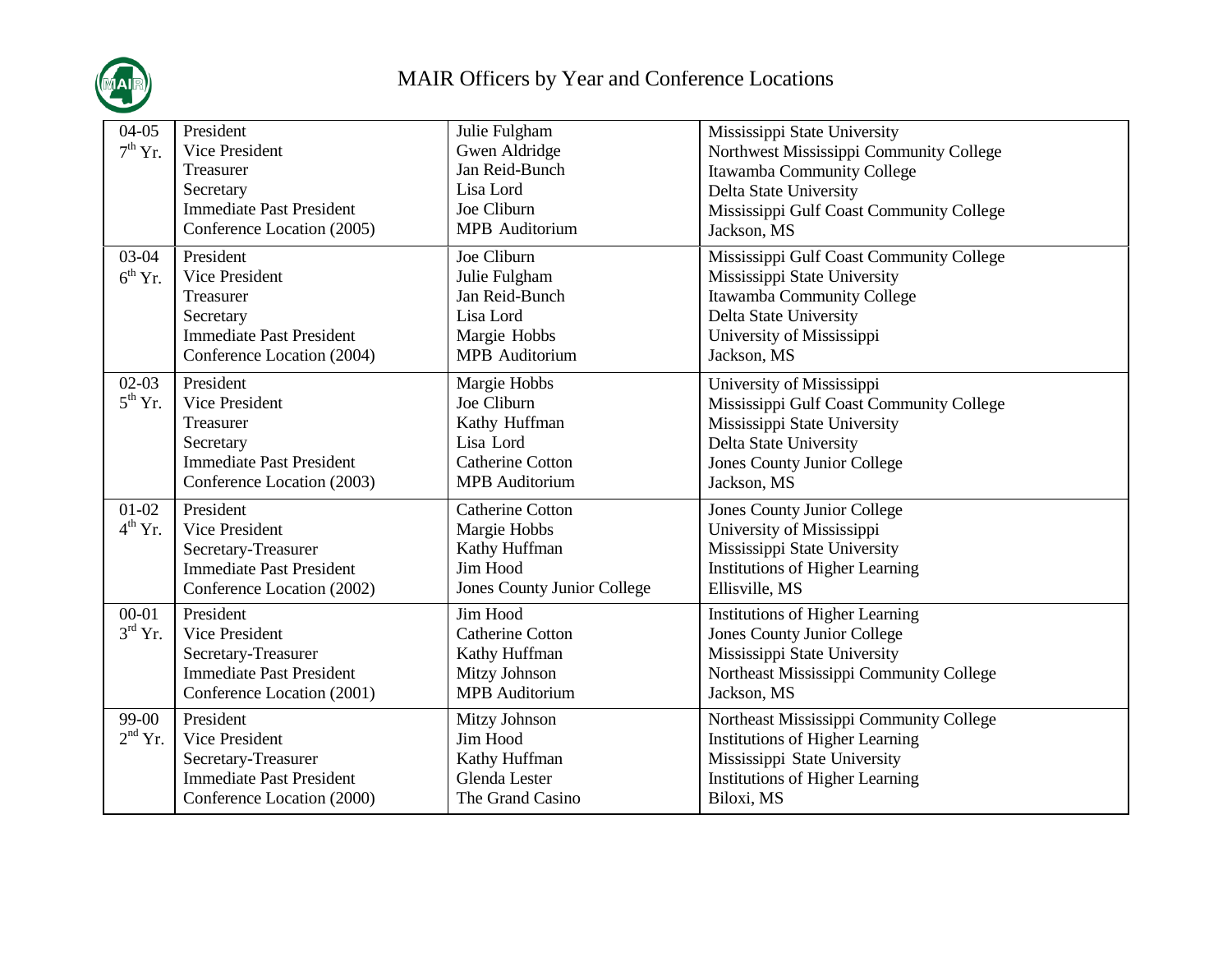

| $04 - 05$<br>$7th$ Yr.           | President<br>Vice President<br>Treasurer<br>Secretary<br><b>Immediate Past President</b><br>Conference Location (2005) | Julie Fulgham<br>Gwen Aldridge<br>Jan Reid-Bunch<br>Lisa Lord<br>Joe Cliburn<br>MPB Auditorium                | Mississippi State University<br>Northwest Mississippi Community College<br>Itawamba Community College<br>Delta State University<br>Mississippi Gulf Coast Community College<br>Jackson, MS |
|----------------------------------|------------------------------------------------------------------------------------------------------------------------|---------------------------------------------------------------------------------------------------------------|--------------------------------------------------------------------------------------------------------------------------------------------------------------------------------------------|
| $03-04$<br>$6^{th}$ Yr.          | President<br>Vice President<br>Treasurer<br>Secretary<br><b>Immediate Past President</b><br>Conference Location (2004) | Joe Cliburn<br>Julie Fulgham<br>Jan Reid-Bunch<br>Lisa Lord<br>Margie Hobbs<br><b>MPB</b> Auditorium          | Mississippi Gulf Coast Community College<br>Mississippi State University<br>Itawamba Community College<br>Delta State University<br>University of Mississippi<br>Jackson, MS               |
| $02-03$<br>$5^{th}$ Yr.          | President<br>Vice President<br>Treasurer<br>Secretary<br><b>Immediate Past President</b><br>Conference Location (2003) | Margie Hobbs<br>Joe Cliburn<br>Kathy Huffman<br>Lisa Lord<br><b>Catherine Cotton</b><br><b>MPB</b> Auditorium | University of Mississippi<br>Mississippi Gulf Coast Community College<br>Mississippi State University<br>Delta State University<br><b>Jones County Junior College</b><br>Jackson, MS       |
| $01-02$<br>$4^{\text{th}}$ Yr.   | President<br>Vice President<br>Secretary-Treasurer<br><b>Immediate Past President</b><br>Conference Location (2002)    | <b>Catherine Cotton</b><br>Margie Hobbs<br>Kathy Huffman<br>Jim Hood<br>Jones County Junior College           | <b>Jones County Junior College</b><br>University of Mississippi<br>Mississippi State University<br><b>Institutions of Higher Learning</b><br>Ellisville, MS                                |
| $00 - 01$<br>$3^{\text{rd}}$ Yr. | President<br>Vice President<br>Secretary-Treasurer<br><b>Immediate Past President</b><br>Conference Location (2001)    | Jim Hood<br><b>Catherine Cotton</b><br>Kathy Huffman<br>Mitzy Johnson<br><b>MPB</b> Auditorium                | <b>Institutions of Higher Learning</b><br><b>Jones County Junior College</b><br>Mississippi State University<br>Northeast Mississippi Community College<br>Jackson, MS                     |
| 99-00<br>$2nd$ Yr.               | President<br>Vice President<br>Secretary-Treasurer<br><b>Immediate Past President</b><br>Conference Location (2000)    | Mitzy Johnson<br>Jim Hood<br>Kathy Huffman<br>Glenda Lester<br>The Grand Casino                               | Northeast Mississippi Community College<br><b>Institutions of Higher Learning</b><br>Mississippi State University<br><b>Institutions of Higher Learning</b><br>Biloxi, MS                  |